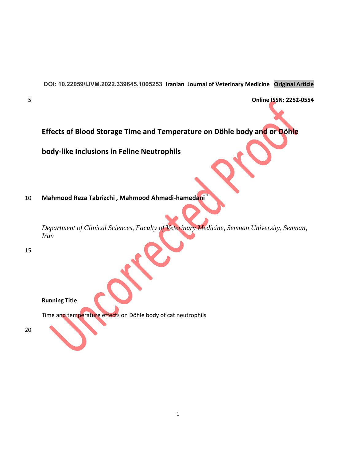**DOI: 10.22059/IJVM.2022.339645.1005253 Iranian Journal of Veterinary Medicine Original Article** 

5 **Online ISSN: 2252‐0554**

**Effects of Blood Storage Time and Temperature on Döhle body and or Döhle** 

**body‐like Inclusions in Feline Neutrophils** 

**Mahmood Reza Tabrizchi , Mahmood Ahmadi‐hamedani \*** 10

*Department of Clinical Sciences, Faculty of Veterinary Medicine, Semnan University, Semnan, Iran*

15

**Running Title** 

Time and temperature effects on Döhle body of cat neutrophils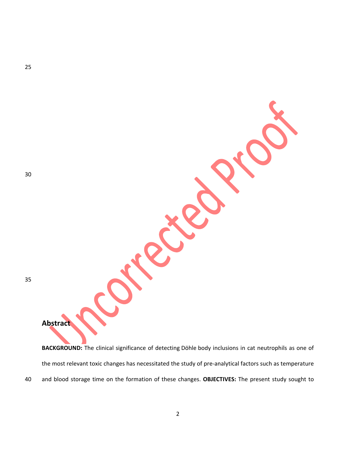

**BACKGROUND:** The clinical significance of detecting Döhle body inclusions in cat neutrophils as one of the most relevant toxic changes has necessitated the study of pre‐analytical factors such as temperature and blood storage time on the formation of these changes. **OBJECTIVES:** The present study sought to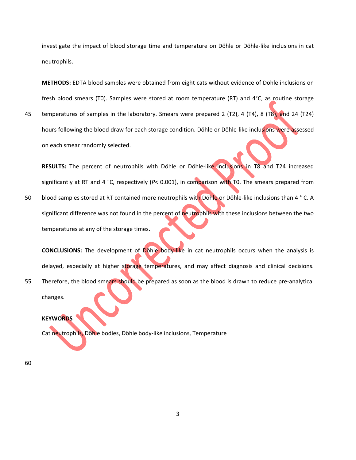investigate the impact of blood storage time and temperature on Döhle or Döhle‐like inclusions in cat neutrophils.

**METHODS:** EDTA blood samples were obtained from eight cats without evidence of Döhle inclusions on fresh blood smears (T0). Samples were stored at room temperature (RT) and 4°C, as routine storage

45 temperatures of samples in the laboratory. Smears were prepared 2 (T2), 4 (T4), 8 (T8), and 24 (T24) hours following the blood draw for each storage condition. Döhle or Döhle-like inclusions were assessed on each smear randomly selected.

**RESULTS:** The percent of neutrophils with Döhle or Döhle-like inclusions in T8 and T24 increased significantly at RT and 4 °C, respectively (*P*< 0.001), in comparison with T0. The smears prepared from

50 blood samples stored at RT contained more neutrophils with Döhle or Döhle-like inclusions than 4 ° C. A significant difference was not found in the percent of neutrophils with these inclusions between the two temperatures at any of the storage times.

**CONCLUSIONS:** The development of Döhle body-like in cat neutrophils occurs when the analysis is delayed, especially at higher storage temperatures, and may affect diagnosis and clinical decisions.

55 Therefore, the blood smears should be prepared as soon as the blood is drawn to reduce pre-analytical changes.

# **KEYWORDS**

Cat neutrophils, Döhle bodies, Döhle body‐like inclusions, Temperature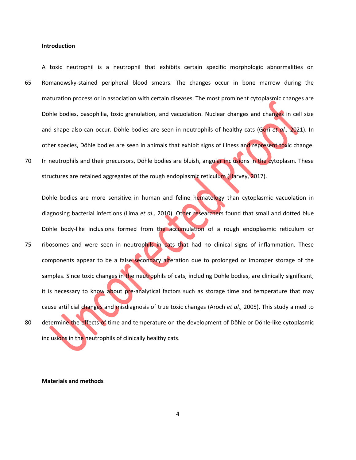### **Introduction**

A toxic neutrophil is a neutrophil that exhibits certain specific morphologic abnormalities on 65 Romanowsky‐stained peripheral blood smears. The changes occur in bone marrow during the maturation process or in association with certain diseases. The most prominent cytoplasmic changes are Döhle bodies, basophilia, toxic granulation, and vacuolation. Nuclear changes and changes in cell size and shape also can occur. Döhle bodies are seen in neutrophils of healthy cats (Gori *et al.,* 2021). In other species, Döhle bodies are seen in animals that exhibit signs of illness and represent toxic change. 70 In neutrophils and their precursors, Döhle bodies are bluish, angular inclusions in the cytoplasm. These structures are retained aggregates of the rough endoplasmic reticulum (Harvey, 2017).

Döhle bodies are more sensitive in human and feline hematology than cytoplasmic vacuolation in diagnosing bacterial infections (Lima *et al.,* 2010). Other researchers found that small and dotted blue Döhle body-like inclusions formed from the accumulation of a rough endoplasmic reticulum or 75 ribosomes and were seen in neutrophils in cats that had no clinical signs of inflammation. These components appear to be a false secondary alteration due to prolonged or improper storage of the samples. Since toxic changes in the neutrophils of cats, including Döhle bodies, are clinically significant, it is necessary to know about pre-analytical factors such as storage time and temperature that may cause artificial changes and misdiagnosis of true toxic changes (Aroch *et al.,* 2005). This study aimed to 80 determine the effects of time and temperature on the development of Döhle or Döhle-like cytoplasmic inclusions in the neutrophils of clinically healthy cats.

**Materials and methods**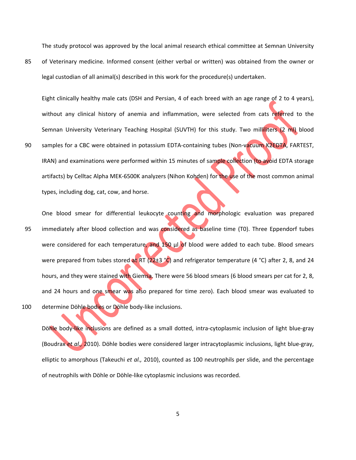The study protocol was approved by the local animal research ethical committee at Semnan University

85 of Veterinary medicine. Informed consent (either verbal or written) was obtained from the owner or legal custodian of all animal(s) described in this work for the procedure(s) undertaken.

Eight clinically healthy male cats (DSH and Persian, 4 of each breed with an age range of 2 to 4 years), without any clinical history of anemia and inflammation, were selected from cats referred to the Semnan University Veterinary Teaching Hospital (SUVTH) for this study. Two milliliters (2 ml) blood

90 samples for a CBC were obtained in potassium EDTA-containing tubes (Non-vacuum K2EDTA, FARTEST, IRAN) and examinations were performed within 15 minutes of sample collection (to avoid EDTA storage artifacts) by Celltac Alpha MEK‐6500K analyzers (Nihon Kohden) for the use of the most common animal types, including dog, cat, cow, and horse.

One blood smear for differential leukocyte counting and morphologic evaluation was prepared 95 immediately after blood collection and was considered as baseline time (T0). Three Eppendorf tubes were considered for each temperature, and 150 µl of blood were added to each tube. Blood smears were prepared from tubes stored at RT (22±3  $^{\circ}$ C) and refrigerator temperature (4 °C) after 2, 8, and 24 hours, and they were stained with Giemsa. There were 56 blood smears (6 blood smears per cat for 2, 8, and 24 hours and one smear was also prepared for time zero). Each blood smear was evaluated to 100 determine Döhle bodies or Döhle body-like inclusions.

Döhle body-like inclusions are defined as a small dotted, intra-cytoplasmic inclusion of light blue-gray (Boudrax *et al.,* 2010). Döhle bodies were considered larger intracytoplasmic inclusions, light blue‐gray, elliptic to amorphous (Takeuchi *et al.,* 2010), counted as 100 neutrophils per slide, and the percentage of neutrophils with Döhle or Döhle‐like cytoplasmic inclusions was recorded.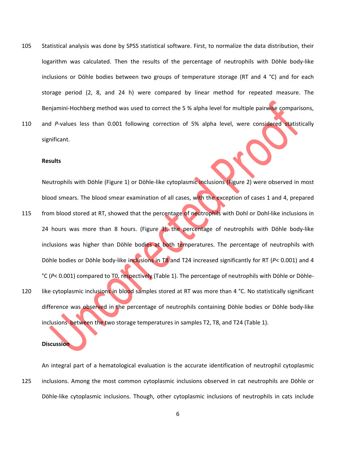- 105 Statistical analysis was done by SPSS statistical software. First, to normalize the data distribution, their logarithm was calculated. Then the results of the percentage of neutrophils with Döhle body-like inclusions or Döhle bodies between two groups of temperature storage (RT and 4  $^{\circ}$ C) and for each storage period (2, 8, and 24 h) were compared by linear method for repeated measure. The Benjamini-Hochberg method was used to correct the 5 % alpha level for multiple pairwise comparisons,
- 110 and P-values less than 0.001 following correction of 5% alpha level, were considered statistically significant.

## **Results**

Neutrophils with Döhle (Figure 1) or Döhle-like cytoplasmic inclusions (Figure 2) were observed in most blood smears. The blood smear examination of all cases, with the exception of cases 1 and 4, prepared 115 from blood stored at RT, showed that the percentage of neutrophils with Dohl or Dohl-like inclusions in 24 hours was more than 8 hours. (Figure 3), the percentage of neutrophils with Döhle body-like inclusions was higher than Döhle bodies at both temperatures. The percentage of neutrophils with Döhle bodies or Döhle body-like inclusions in T8 and T24 increased significantly for RT (P< 0.001) and 4 °C (*P*< 0.001) compared to T0, respectively (Table 1). The percentage of neutrophils with Döhle or Döhle‐ 120 like cytoplasmic inclusions in blood samples stored at RT was more than 4 °C. No statistically significant difference was observed in the percentage of neutrophils containing Döhle bodies or Döhle body-like inclusions between the two storage temperatures in samples T2, T8, and T24 (Table 1).

# **Discussion**

An integral part of a hematological evaluation is the accurate identification of neutrophil cytoplasmic 125 inclusions. Among the most common cytoplasmic inclusions observed in cat neutrophils are Döhle or Döhle-like cytoplasmic inclusions. Though, other cytoplasmic inclusions of neutrophils in cats include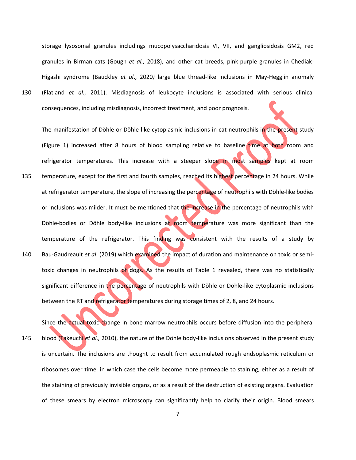storage lysosomal granules includings mucopolysaccharidosis VI, VII, and gangliosidosis GM2, red granules in Birman cats (Gough *et al.,* 2018), and other cat breeds, pink‐purple granules in Chediak‐ Higashi syndrome (Bauckley *et al*., 2020*)* large blue thread‐like inclusions in May‐Hegglin anomaly 130 (Flatland *et al.,* 2011). Misdiagnosis of leukocyte inclusions is associated with serious clinical

consequences, including misdiagnosis, incorrect treatment, and poor prognosis.

The manifestation of Döhle or Döhle-like cytoplasmic inclusions in cat neutrophils in the present study (Figure 1) increased after 8 hours of blood sampling relative to baseline time at both room and refrigerator temperatures. This increase with a steeper slope in most samples kept at room 135 temperature, except for the first and fourth samples, reached its highest percentage in 24 hours. While at refrigerator temperature, the slope of increasing the percentage of neutrophils with Döhle-like bodies

or inclusions was milder. It must be mentioned that the increase in the percentage of neutrophils with Döhle-bodies or Döhle body-like inclusions at room temperature was more significant than the temperature of the refrigerator. This finding was consistent with the results of a study by 140 Bau‐Gaudreault *et al*. (2019) which examined the impact of duration and maintenance on toxic or semi‐ toxic changes in neutrophils of dogs. As the results of Table 1 revealed, there was no statistically

between the RT and refrigerator temperatures during storage times of 2, 8, and 24 hours.

significant difference in the percentage of neutrophils with Döhle or Döhle-like cytoplasmic inclusions

Since the actual toxic change in bone marrow neutrophils occurs before diffusion into the peripheral 145 blood (Takeuchi *et al.,* 2010), the nature of the Döhle body-like inclusions observed in the present study is uncertain. The inclusions are thought to result from accumulated rough endsoplasmic reticulum or ribosomes over time, in which case the cells become more permeable to staining, either as a result of the staining of previously invisible organs, or as a result of the destruction of existing organs. Evaluation of these smears by electron microscopy can significantly help to clarify their origin. Blood smears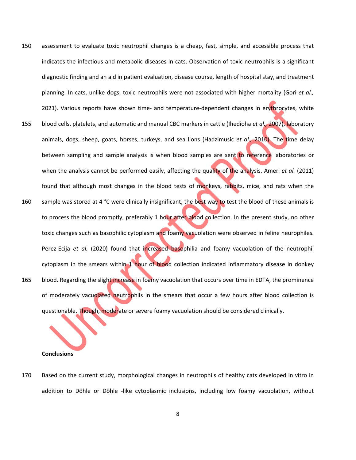150 assessment to evaluate toxic neutrophil changes is a cheap, fast, simple, and accessible process that indicates the infectious and metabolic diseases in cats. Observation of toxic neutrophils is a significant diagnostic finding and an aid in patient evaluation, disease course, length of hospital stay, and treatment planning. In cats, unlike dogs, toxic neutrophils were not associated with higher mortality (Gori *et al.,* 2021). Various reports have shown time- and temperature-dependent changes in erythrocytes, white 155 blood cells, platelets, and automatic and manual CBC markers in cattle (Ihedioha *et al.,* 2007), laboratory animals, dogs, sheep, goats, horses, turkeys, and sea lions (Hadzimusic *et al.,* 2010). The time delay between sampling and sample analysis is when blood samples are sent to reference laboratories or when the analysis cannot be performed easily, affecting the quality of the analysis. Ameri *et al.* (2011) found that although most changes in the blood tests of monkeys, rabbits, mice, and rats when the 160 sample was stored at 4 °C were clinically insignificant, the best way to test the blood of these animals is to process the blood promptly, preferably 1 hour after blood collection. In the present study, no other toxic changes such as basophilic cytoplasm and foamy vacuolation were observed in feline neurophiles. Perez-Ecija et al. (2020) found that increased basophilia and foamy vacuolation of the neutrophil cytoplasm in the smears within 1 hour of blood collection indicated inflammatory disease in donkey 165 blood. Regarding the slight increase in foamy vacuolation that occurs over time in EDTA, the prominence of moderately vacuolated neutrophils in the smears that occur a few hours after blood collection is questionable. Though, moderate or severe foamy vacuolation should be considered clinically.

# **Conclusions**

170 Based on the current study, morphological changes in neutrophils of healthy cats developed in vitro in addition to Döhle or Döhle -like cytoplasmic inclusions, including low foamy vacuolation, without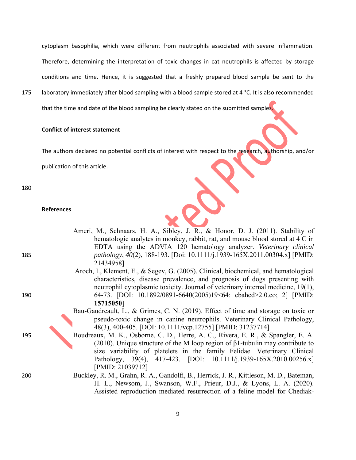cytoplasm basophilia, which were different from neutrophils associated with severe inflammation. Therefore, determining the interpretation of toxic changes in cat neutrophils is affected by storage conditions and time. Hence, it is suggested that a freshly prepared blood sample be sent to the

175 laboratory immediately after blood sampling with a blood sample stored at 4 °C. It is also recommended that the time and date of the blood sampling be clearly stated on the submitted samples

## **Conflict of interest statement**

The authors declared no potential conflicts of interest with respect to the research, authorship, and/or

publication of this article.

180

## **References**

- Ameri, M., Schnaars, H. A., Sibley, J. R., & Honor, D. J. (2011). Stability of hematologic analytes in monkey, rabbit, rat, and mouse blood stored at 4 C in EDTA using the ADVIA 120 hematology analyzer. *Veterinary clinical*  185 *pathology*, *40*(2), 188-193. [Doi: 10.1111/j.1939-165X.2011.00304.x] [PMID: 21434958]
- Aroch, I., Klement, E., & Segev, G. (2005). Clinical, biochemical, and hematological characteristics, disease prevalence, and prognosis of dogs presenting with neutrophil cytoplasmic toxicity. Journal of veterinary internal medicine, 19(1), 190 64-73. [DOI: 10.1892/0891-6640(2005)19<64: cbahcd>2.0.co; 2] [PMID: **15715050]**
	- Bau-Gaudreault, L., & Grimes, C. N. (2019). Effect of time and storage on toxic or pseudo‐toxic change in canine neutrophils. Veterinary Clinical Pathology, 48(3), 400-405. [DOI: 10.1111/vcp.12755] [PMID: 31237714]
- 195 Boudreaux, M. K., Osborne, C. D., Herre, A. C., Rivera, E. R., & Spangler, E. A. (2010). Unique structure of the M loop region of  $\beta$ 1-tubulin may contribute to size variability of platelets in the family Felidae. Veterinary Clinical Pathology, 39(4), 417-423. [DOI: 10.1111/j.1939-165X.2010.00256.x] [PMID: 21039712]
- 200 Buckley, R. M., Grahn, R. A., Gandolfi, B., Herrick, J. R., Kittleson, M. D., Bateman, H. L., Newsom, J., Swanson, W.F., Prieur, D.J., & Lyons, L. A. (2020). Assisted reproduction mediated resurrection of a feline model for Chediak-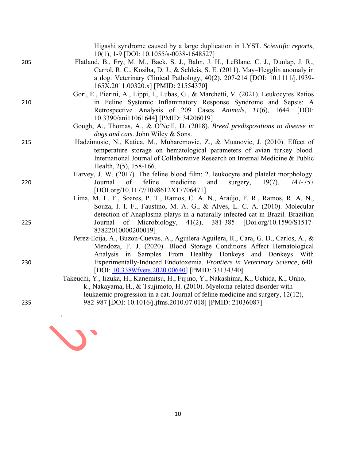|     | Higashi syndrome caused by a large duplication in LYST. Scientific reports,            |
|-----|----------------------------------------------------------------------------------------|
|     | 10(1), 1-9 [DOI: 10.1055/s-0038-1648527]                                               |
| 205 | Flatland, B., Fry, M. M., Baek, S. J., Bahn, J. H., LeBlanc, C. J., Dunlap, J. R.,     |
|     | Carrol, R. C., Kosiba, D. J., & Schleis, S. E. (2011). May–Hegglin anomaly in          |
|     | a dog. Veterinary Clinical Pathology, 40(2), 207-214 [DOI: 10.1111/j.1939-             |
|     | 165X.2011.00320.x] [PMID: 21554370]                                                    |
|     | Gori, E., Pierini, A., Lippi, I., Lubas, G., & Marchetti, V. (2021). Leukocytes Ratios |
| 210 | in Feline Systemic Inflammatory Response Syndrome and Sepsis: A                        |
|     | Retrospective Analysis of 209 Cases. Animals, 11(6), 1644. [DOI:                       |
|     | 10.3390/ani11061644] [PMID: 34206019]                                                  |
|     | Gough, A., Thomas, A., & O'Neill, D. (2018). Breed predispositions to disease in       |
|     | dogs and cats. John Wiley & Sons.                                                      |
| 215 | Hadzimusic, N., Katica, M., Muharemovic, Z., & Muanovic, J. (2010). Effect of          |
|     | temperature storage on hematological parameters of avian turkey blood.                 |
|     | International Journal of Collaborative Research on Internal Medicine & Public          |
|     | Health, 2(5), 158-166.                                                                 |
|     | Harvey, J. W. (2017). The feline blood film: 2. leukocyte and platelet morphology.     |
| 220 | feline<br>medicine<br>Journal<br>of<br>and<br>surgery,<br>$19(7)$ ,<br>747-757         |
|     | [DOLorg/10.1177/1098612X17706471]                                                      |
|     | Lima, M. L. F., Soares, P. T., Ramos, C. A. N., Araújo, F. R., Ramos, R. A. N.,        |
|     | Souza, I. I. F., Faustino, M. A. G., & Alves, L. C. A. (2010). Molecular               |
|     | detection of Anaplasma platys in a naturally-infected cat in Brazil. Brazilian         |
| 225 | of Microbiology, 41(2), 381-385 [Doi.org/10.1590/S1517-<br>Journal                     |
|     | 83822010000200019]                                                                     |
|     | Perez-Ecija, A., Buzon-Cuevas, A., Aguilera-Aguilera, R., Cara, G. D., Carlos, A., &   |
|     | Mendoza, F. J. (2020). Blood Storage Conditions Affect Hematological                   |
|     | Analysis in Samples From Healthy Donkeys and Donkeys With                              |
| 230 | Experimentally-Induced Endotoxemia. Frontiers in Veterinary Science, 640.              |
|     | [DOI: 10.3389/fvets.2020.00640] [PMID: 33134340]                                       |
|     | Takeuchi, Y., Iizuka, H., Kanemitsu, H., Fujino, Y., Nakashima, K., Uchida, K., Onho,  |
|     | k., Nakayama, H., & Tsujimoto, H. (2010). Myeloma-related disorder with                |
|     | leukaemic progression in a cat. Journal of feline medicine and surgery, 12(12),        |
| 235 | 982-987 [DOI: 10.1016/j.jfms.2010.07.018] [PMID: 21036087]                             |
|     |                                                                                        |

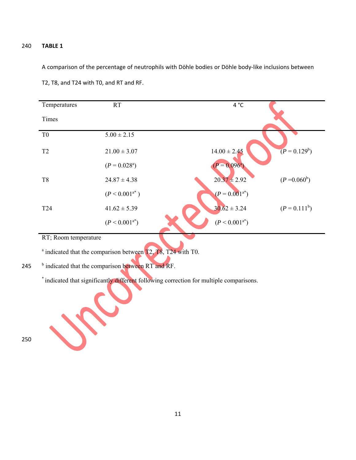# 240 **TABLE 1**

A comparison of the percentage of neutrophils with Döhle bodies or Döhle body‐like inclusions between

| Temperatures           | <b>RT</b>             | 4°C                                 |
|------------------------|-----------------------|-------------------------------------|
| Times                  |                       |                                     |
| T <sub>0</sub>         | $5.00 \pm 2.15$       |                                     |
| T <sub>2</sub>         | $21.00 \pm 3.07$      | $(P = 0.129^b)$<br>$14.00 \pm 2.45$ |
|                        | $(P = 0.028^{\circ})$ | $(P = 0.096^a)$                     |
| T <sub>8</sub>         | $24.87 \pm 4.38$      | $(P = 0.060^b)$<br>$20.37 \pm 2.92$ |
|                        | $(P < 0.001^{a^*})$   | $(P = 0.001^{a^*})$                 |
| T <sub>24</sub>        | $41.62 \pm 5.39$      | $(P = 0.111^b)$<br>$30.62 \pm 3.24$ |
| $RT:$ Room temperature | $(P < 0.001^{a^*})$   | $(P < 0.001^{a^*})$                 |

T2, T8, and T24 with T0, and RT and RF.

RT; Room temperature

<sup>a</sup> indicated that the comparison between  $T2$ ,  $T8$ ,  $T24$  with T0.

245 **b** indicated that the comparison between RT and RF.

\* indicated that significantly different following correction for multiple comparisons.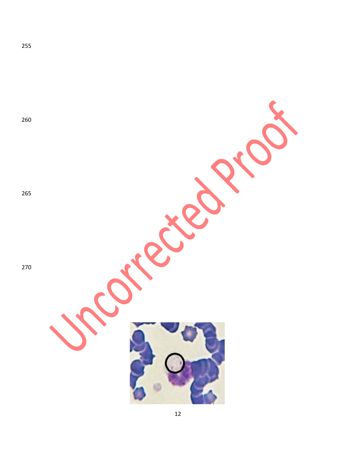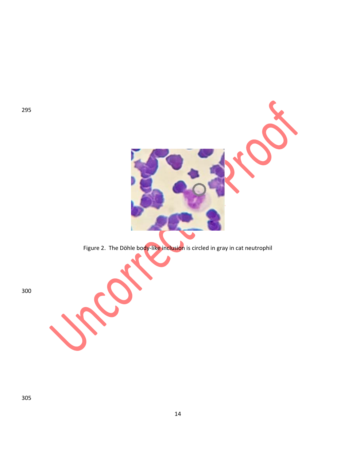

Figure 2. The Döhle body-like inclusion is circled in gray in cat neutrophil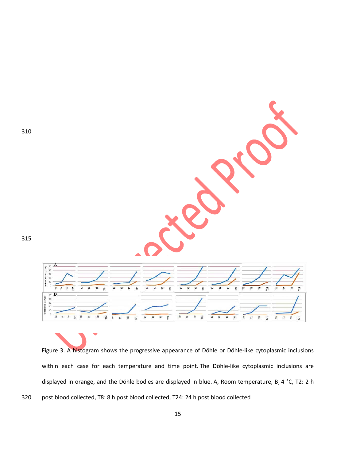

Figure 3. A histogram shows the progressive appearance of Döhle or Döhle-like cytoplasmic inclusions within each case for each temperature and time point. The Döhle-like cytoplasmic inclusions are displayed in orange, and the Döhle bodies are displayed in blue. A, Room temperature, B, 4 °C, T2: 2 h 320 post blood collected, T8: 8 h post blood collected, T24: 24 h post blood collected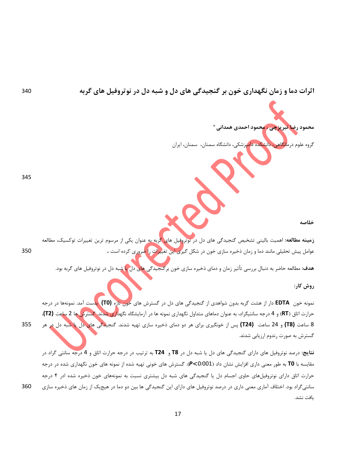**اثرات دما و زمان نگهداري خون بر گنجيدگي هاي دل و شبه دل در نوتروفيل هاي گربه** 340

**\* محمود رضا تبريزچي ، محمود احمدي همداني**

گروه علوم درمانگاهي، دانشكده دامپزشكي، دانشگاه سمنان، سمنان، ايران

345

**خلاصه** 

**زمينه مطالعه:** اهميت باليني تشخيص گنجيدگي هاي دل در نوتروفيل هاي گربه به عنوان يكي از مرسوم ترين تغييرات توكسيك، مطالعه عوامل پيش تحليلي مانند دما و زمان ذخيره سازي خون در شكل گيري اين تغييرات را ضروري كرده است**.**  350

**هدف:** مطالعه حاضر به دنبال بررسي تأثير زمان و دماي ذخيره سازي خون برگنجيدگي هاي دل يا شبه دل در نوتروفيل هاي گربه بود.

**روش كار:**

نمونه خون **EDTA** دار از هشت گربه بدون شواهدي از گنجيدگي هاي دل در گسترش هاي خون تازه **(0T (**بدست آمد. نمونهها در درجه حرارت اتاق (**RT** (و 4 درجه سانتيگراد، به عنوان دماهاي متداول نگهداري نمونه ها در آزمايشگاه نگهداري شدند. گسترش ها 2 ساعت **(2T(**، 8 ساعت **(8T (**و 24 ساعت **(24T (**پس از خونگيري براي هر دو دماي ذخيره سازي تهيه شدند. گنجيدگي هاي دل يا شبه دل در هر 355 گسترش به صورت رندوم ارزيابي شدند.

**نتايج:** درصد نوتروفيل هاي داراي گنجيدگي هاي دل يا شبه دل در**8 T** و**24 T** به ترتيب در درجه حرارت اتاق و 4 درجه سانتي گراد در مقايسه با **0T** به طور معني داري افزايش نشان داد (0/001>*P*(. گسترش هاي خوني تهيه شده از نمونه هاي خون نگهداري شده در درجه حرارت اتاق داراي نوتروفيلهاي حاوي اجسام دل يا گنجيدگي هاي شبه دل بيشتري نسبت به نمونههاي خون ذخيره شده ادر 4 درجه سانتيگراد بود. اختلاف آماري معني داري در درصد نوتروفيل هاي داراي اين گنجيدگي ها بين دو دما در هيجيك از زمان هاي ذخيره سازي 360 يافت نشد.